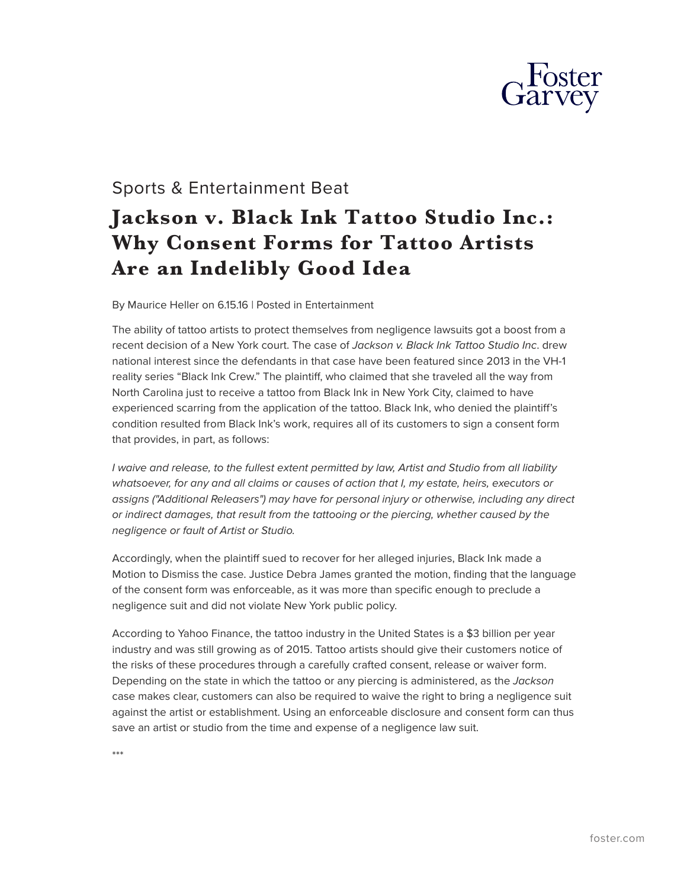

## Sports & Entertainment Beat

## **Jackson v. Black Ink Tattoo Studio Inc.: Why Consent Forms for Tattoo Artists Are an Indelibly Good Idea**

By Maurice Heller on 6.15.16 | Posted in Entertainment

The ability of tattoo artists to protect themselves from negligence lawsuits got a boost from a recent decision of a New York court. The case of *Jackson v. Black Ink Tattoo Studio Inc*. drew national interest since the defendants in that case have been featured since 2013 in the VH-1 reality series "Black Ink Crew." The plaintiff, who claimed that she traveled all the way from North Carolina just to receive a tattoo from Black Ink in New York City, claimed to have experienced scarring from the application of the tattoo. Black Ink, who denied the plaintiff's condition resulted from Black Ink's work, requires all of its customers to sign a consent form that provides, in part, as follows:

*I waive and release, to the fullest extent permitted by law, Artist and Studio from all liability whatsoever, for any and all claims or causes of action that I, my estate, heirs, executors or assigns ("Additional Releasers") may have for personal injury or otherwise, including any direct or indirect damages, that result from the tattooing or the piercing, whether caused by the negligence or fault of Artist or Studio.* 

Accordingly, when the plaintiff sued to recover for her alleged injuries, Black Ink made a Motion to Dismiss the case. Justice Debra James granted the motion, finding that the language of the consent form was enforceable, as it was more than specific enough to preclude a negligence suit and did not violate New York public policy.

According to Yahoo Finance, the tattoo industry in the United States is a \$3 billion per year industry and was still growing as of 2015. Tattoo artists should give their customers notice of the risks of these procedures through a carefully crafted consent, release or waiver form. Depending on the state in which the tattoo or any piercing is administered, as the *Jackson* case makes clear, customers can also be required to waive the right to bring a negligence suit against the artist or establishment. Using an enforceable disclosure and consent form can thus save an artist or studio from the time and expense of a negligence law suit.

\*\*\*